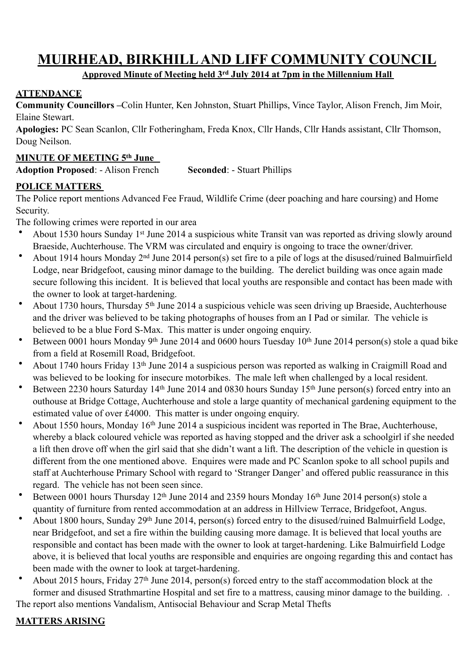# **MUIRHEAD, BIRKHILL AND LIFF COMMUNITY COUNCIL**

**Approved Minute of Meeting held 3rd July 2014 at 7pm in the Millennium Hall** 

# **ATTENDANCE**

**Community Councillors –**Colin Hunter, Ken Johnston, Stuart Phillips, Vince Taylor, Alison French, Jim Moir, Elaine Stewart.

**Apologies:** PC Sean Scanlon, Cllr Fotheringham, Freda Knox, Cllr Hands, Cllr Hands assistant, Cllr Thomson, Doug Neilson.

# **MINUTE OF MEETING 5th June**

**Adoption Proposed**: - Alison French **Seconded**: - Stuart Phillips

# **POLICE MATTERS**

The Police report mentions Advanced Fee Fraud, Wildlife Crime (deer poaching and hare coursing) and Home Security.

The following crimes were reported in our area

- About 1530 hours Sunday 1<sup>st</sup> June 2014 a suspicious white Transit van was reported as driving slowly around Braeside, Auchterhouse. The VRM was circulated and enquiry is ongoing to trace the owner/driver.
- About 1914 hours Monday 2nd June 2014 person(s) set fire to a pile of logs at the disused/ruined Balmuirfield Lodge, near Bridgefoot, causing minor damage to the building. The derelict building was once again made secure following this incident. It is believed that local youths are responsible and contact has been made with the owner to look at target-hardening.
- About 1730 hours, Thursday 5<sup>th</sup> June 2014 a suspicious vehicle was seen driving up Braeside, Auchterhouse and the driver was believed to be taking photographs of houses from an I Pad or similar. The vehicle is believed to be a blue Ford S-Max. This matter is under ongoing enquiry.
- Between 0001 hours Monday 9<sup>th</sup> June 2014 and 0600 hours Tuesday 10<sup>th</sup> June 2014 person(s) stole a quad bike from a field at Rosemill Road, Bridgefoot.
- About 1740 hours Friday 13th June 2014 a suspicious person was reported as walking in Craigmill Road and was believed to be looking for insecure motorbikes. The male left when challenged by a local resident.
- Between 2230 hours Saturday 14<sup>th</sup> June 2014 and 0830 hours Sunday 15<sup>th</sup> June person(s) forced entry into an outhouse at Bridge Cottage, Auchterhouse and stole a large quantity of mechanical gardening equipment to the estimated value of over £4000. This matter is under ongoing enquiry.
- About 1550 hours, Monday 16th June 2014 a suspicious incident was reported in The Brae, Auchterhouse, whereby a black coloured vehicle was reported as having stopped and the driver ask a schoolgirl if she needed a lift then drove off when the girl said that she didn't want a lift. The description of the vehicle in question is different from the one mentioned above. Enquires were made and PC Scanlon spoke to all school pupils and staff at Auchterhouse Primary School with regard to 'Stranger Danger' and offered public reassurance in this regard. The vehicle has not been seen since.
- Between 0001 hours Thursday 12<sup>th</sup> June 2014 and 2359 hours Monday 16<sup>th</sup> June 2014 person(s) stole a quantity of furniture from rented accommodation at an address in Hillview Terrace, Bridgefoot, Angus.
- About 1800 hours, Sunday 29th June 2014, person(s) forced entry to the disused/ruined Balmuirfield Lodge, near Bridgefoot, and set a fire within the building causing more damage. It is believed that local youths are responsible and contact has been made with the owner to look at target-hardening. Like Balmuirfield Lodge above, it is believed that local youths are responsible and enquiries are ongoing regarding this and contact has been made with the owner to look at target-hardening.
- About 2015 hours, Friday 27<sup>th</sup> June 2014, person(s) forced entry to the staff accommodation block at the former and disused Strathmartine Hospital and set fire to a mattress, causing minor damage to the building. . The report also mentions Vandalism, Antisocial Behaviour and Scrap Metal Thefts

# **MATTERS ARISING**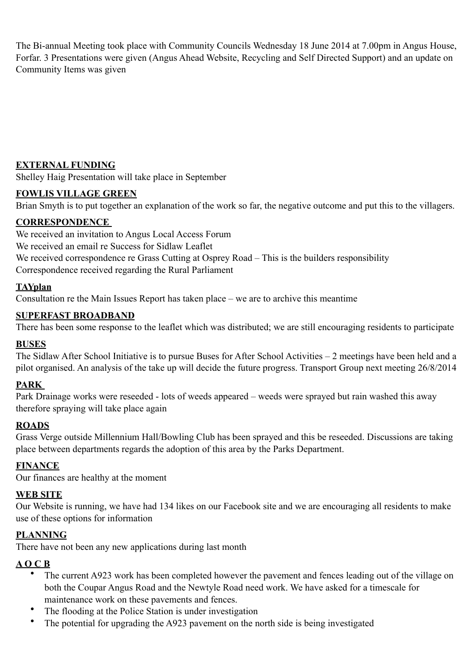The Bi-annual Meeting took place with Community Councils Wednesday 18 June 2014 at 7.00pm in Angus House, Forfar. 3 Presentations were given (Angus Ahead Website, Recycling and Self Directed Support) and an update on Community Items was given

# **EXTERNAL FUNDING**

Shelley Haig Presentation will take place in September

#### **FOWLIS VILLAGE GREEN**

Brian Smyth is to put together an explanation of the work so far, the negative outcome and put this to the villagers.

#### **CORRESPONDENCE**

We received an invitation to Angus Local Access Forum We received an email re Success for Sidlaw Leaflet We received correspondence re Grass Cutting at Osprey Road – This is the builders responsibility Correspondence received regarding the Rural Parliament

# **TAYplan**

Consultation re the Main Issues Report has taken place – we are to archive this meantime

#### **SUPERFAST BROADBAND**

There has been some response to the leaflet which was distributed; we are still encouraging residents to participate

#### **BUSES**

The Sidlaw After School Initiative is to pursue Buses for After School Activities – 2 meetings have been held and a pilot organised. An analysis of the take up will decide the future progress. Transport Group next meeting 26/8/2014

# **PARK**

Park Drainage works were reseeded - lots of weeds appeared – weeds were sprayed but rain washed this away therefore spraying will take place again

# **ROADS**

Grass Verge outside Millennium Hall/Bowling Club has been sprayed and this be reseeded. Discussions are taking place between departments regards the adoption of this area by the Parks Department.

# **FINANCE**

Our finances are healthy at the moment

#### **WEB SITE**

Our Website is running, we have had 134 likes on our Facebook site and we are encouraging all residents to make use of these options for information

# **PLANNING**

There have not been any new applications during last month

# **A O C B**

- The current A923 work has been completed however the pavement and fences leading out of the village on both the Coupar Angus Road and the Newtyle Road need work. We have asked for a timescale for maintenance work on these pavements and fences.
- The flooding at the Police Station is under investigation
- The potential for upgrading the A923 pavement on the north side is being investigated